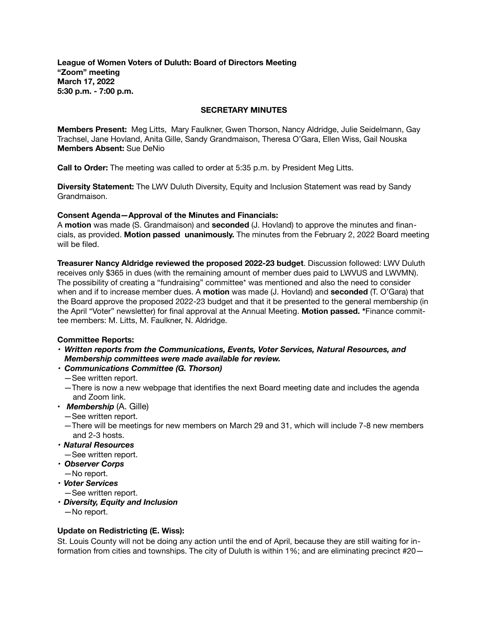**League of Women Voters of Duluth: Board of Directors Meeting "Zoom" meeting March 17, 2022 5:30 p.m. - 7:00 p.m.** 

#### **SECRETARY MINUTES**

**Members Present:** Meg Litts, Mary Faulkner, Gwen Thorson, Nancy Aldridge, Julie Seidelmann, Gay Trachsel, Jane Hovland, Anita Gille, Sandy Grandmaison, Theresa O'Gara, Ellen Wiss, Gail Nouska **Members Absent:** Sue DeNio

**Call to Order:** The meeting was called to order at 5:35 p.m. by President Meg Litts.

**Diversity Statement:** The LWV Duluth Diversity, Equity and Inclusion Statement was read by Sandy Grandmaison.

### **Consent Agenda—Approval of the Minutes and Financials:**

A **motion** was made (S. Grandmaison) and **seconded** (J. Hovland) to approve the minutes and financials, as provided. **Motion passed unanimously.** The minutes from the February 2, 2022 Board meeting will be filed.

**Treasurer Nancy Aldridge reviewed the proposed 2022-23 budget**. Discussion followed: LWV Duluth receives only \$365 in dues (with the remaining amount of member dues paid to LWVUS and LWVMN). The possibility of creating a "fundraising" committee\* was mentioned and also the need to consider when and if to increase member dues. A **motion** was made (J. Hovland) and **seconded** (T. O'Gara) that the Board approve the proposed 2022-23 budget and that it be presented to the general membership (in the April "Voter" newsletter) for final approval at the Annual Meeting. **Motion passed. \***Finance committee members: M. Litts, M. Faulkner, N. Aldridge.

# **Committee Reports:**

*• Written reports from the Communications, Events, Voter Services, Natural Resources, and Membership committees were made available for review.* 

# *• Communications Committee (G. Thorson)*

- *—*See written report.
- —There is now a new webpage that identifies the next Board meeting date and includes the agenda and Zoom link.
- *Membership* (A. Gille)
	- *—*See written report.
	- *—*There will be meetings for new members on March 29 and 31, which will include 7-8 new members and 2-3 hosts.
- *• Natural Resources —*See written report.
- *• Observer Corps*
- $-$ No report.
- *• Voter Services*   $-$ See written report.
	-
- *• Diversity, Equity and Inclusion*   $-$ No report.

# **Update on Redistricting (E. Wiss):**

St. Louis County will not be doing any action until the end of April, because they are still waiting for information from cities and townships. The city of Duluth is within 1%; and are eliminating precinct #20